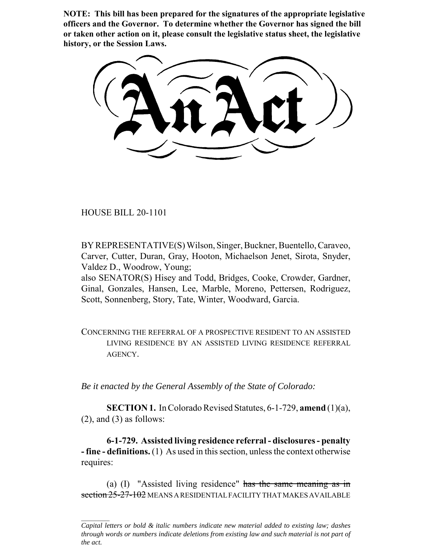**NOTE: This bill has been prepared for the signatures of the appropriate legislative officers and the Governor. To determine whether the Governor has signed the bill or taken other action on it, please consult the legislative status sheet, the legislative history, or the Session Laws.**

HOUSE BILL 20-1101

BY REPRESENTATIVE(S) Wilson, Singer, Buckner, Buentello, Caraveo, Carver, Cutter, Duran, Gray, Hooton, Michaelson Jenet, Sirota, Snyder, Valdez D., Woodrow, Young;

also SENATOR(S) Hisey and Todd, Bridges, Cooke, Crowder, Gardner, Ginal, Gonzales, Hansen, Lee, Marble, Moreno, Pettersen, Rodriguez, Scott, Sonnenberg, Story, Tate, Winter, Woodward, Garcia.

CONCERNING THE REFERRAL OF A PROSPECTIVE RESIDENT TO AN ASSISTED LIVING RESIDENCE BY AN ASSISTED LIVING RESIDENCE REFERRAL AGENCY.

*Be it enacted by the General Assembly of the State of Colorado:*

**SECTION 1.** In Colorado Revised Statutes, 6-1-729, **amend** (1)(a),  $(2)$ , and  $(3)$  as follows:

**6-1-729. Assisted living residence referral - disclosures - penalty - fine - definitions.** (1) As used in this section, unless the context otherwise requires:

(a) (I) "Assisted living residence" has the same meaning as in section 25-27-102 MEANS A RESIDENTIAL FACILITY THAT MAKES AVAILABLE

*Capital letters or bold & italic numbers indicate new material added to existing law; dashes through words or numbers indicate deletions from existing law and such material is not part of the act.*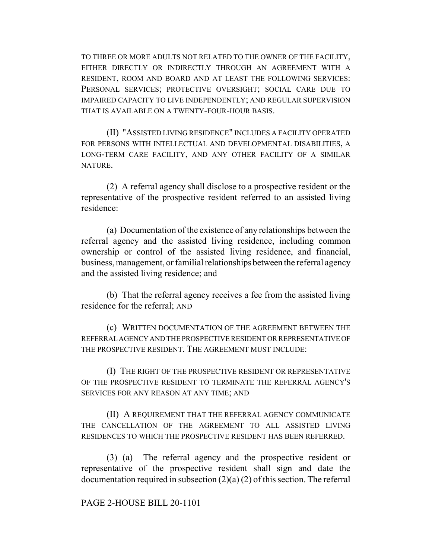TO THREE OR MORE ADULTS NOT RELATED TO THE OWNER OF THE FACILITY, EITHER DIRECTLY OR INDIRECTLY THROUGH AN AGREEMENT WITH A RESIDENT, ROOM AND BOARD AND AT LEAST THE FOLLOWING SERVICES: PERSONAL SERVICES; PROTECTIVE OVERSIGHT; SOCIAL CARE DUE TO IMPAIRED CAPACITY TO LIVE INDEPENDENTLY; AND REGULAR SUPERVISION THAT IS AVAILABLE ON A TWENTY-FOUR-HOUR BASIS.

(II) "ASSISTED LIVING RESIDENCE" INCLUDES A FACILITY OPERATED FOR PERSONS WITH INTELLECTUAL AND DEVELOPMENTAL DISABILITIES, A LONG-TERM CARE FACILITY, AND ANY OTHER FACILITY OF A SIMILAR NATURE.

(2) A referral agency shall disclose to a prospective resident or the representative of the prospective resident referred to an assisted living residence:

(a) Documentation of the existence of any relationships between the referral agency and the assisted living residence, including common ownership or control of the assisted living residence, and financial, business, management, or familial relationships between the referral agency and the assisted living residence; and

(b) That the referral agency receives a fee from the assisted living residence for the referral; AND

(c) WRITTEN DOCUMENTATION OF THE AGREEMENT BETWEEN THE REFERRAL AGENCY AND THE PROSPECTIVE RESIDENT OR REPRESENTATIVE OF THE PROSPECTIVE RESIDENT. THE AGREEMENT MUST INCLUDE:

(I) THE RIGHT OF THE PROSPECTIVE RESIDENT OR REPRESENTATIVE OF THE PROSPECTIVE RESIDENT TO TERMINATE THE REFERRAL AGENCY'S SERVICES FOR ANY REASON AT ANY TIME; AND

(II) A REQUIREMENT THAT THE REFERRAL AGENCY COMMUNICATE THE CANCELLATION OF THE AGREEMENT TO ALL ASSISTED LIVING RESIDENCES TO WHICH THE PROSPECTIVE RESIDENT HAS BEEN REFERRED.

(3) (a) The referral agency and the prospective resident or representative of the prospective resident shall sign and date the documentation required in subsection  $(2)(a)(2)$  of this section. The referral

## PAGE 2-HOUSE BILL 20-1101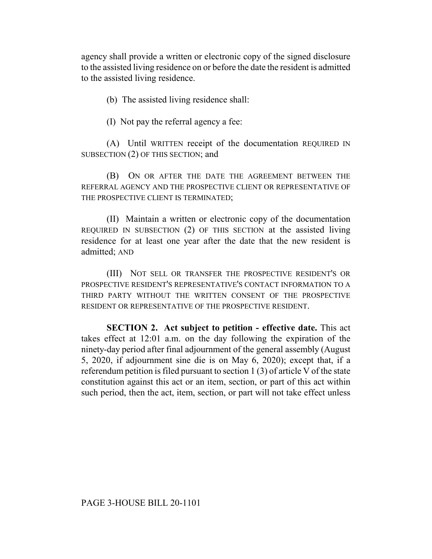agency shall provide a written or electronic copy of the signed disclosure to the assisted living residence on or before the date the resident is admitted to the assisted living residence.

(b) The assisted living residence shall:

(I) Not pay the referral agency a fee:

(A) Until WRITTEN receipt of the documentation REQUIRED IN SUBSECTION (2) OF THIS SECTION; and

(B) ON OR AFTER THE DATE THE AGREEMENT BETWEEN THE REFERRAL AGENCY AND THE PROSPECTIVE CLIENT OR REPRESENTATIVE OF THE PROSPECTIVE CLIENT IS TERMINATED;

(II) Maintain a written or electronic copy of the documentation REQUIRED IN SUBSECTION (2) OF THIS SECTION at the assisted living residence for at least one year after the date that the new resident is admitted; AND

(III) NOT SELL OR TRANSFER THE PROSPECTIVE RESIDENT'S OR PROSPECTIVE RESIDENT'S REPRESENTATIVE'S CONTACT INFORMATION TO A THIRD PARTY WITHOUT THE WRITTEN CONSENT OF THE PROSPECTIVE RESIDENT OR REPRESENTATIVE OF THE PROSPECTIVE RESIDENT.

**SECTION 2. Act subject to petition - effective date.** This act takes effect at 12:01 a.m. on the day following the expiration of the ninety-day period after final adjournment of the general assembly (August 5, 2020, if adjournment sine die is on May 6, 2020); except that, if a referendum petition is filed pursuant to section 1 (3) of article V of the state constitution against this act or an item, section, or part of this act within such period, then the act, item, section, or part will not take effect unless